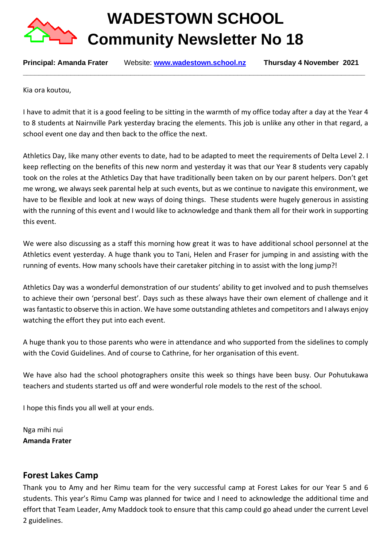

**WADESTOWN SCHOOL Community Newsletter No 18** 

**Principal: Amanda Frater** Website[:](http://www.wadestown.school.nz/) **[www.wadestown.school.nz](http://www.wadestown.school.nz/) Thursday 4 November 2021** 

**\_\_\_\_\_\_\_\_\_\_\_\_\_\_\_\_\_\_\_\_\_\_\_\_\_\_\_\_\_\_\_\_\_\_\_\_\_\_\_\_\_\_\_\_\_\_\_\_\_\_\_\_\_\_\_\_\_\_\_\_\_\_\_\_\_\_\_\_\_\_\_\_\_\_\_\_\_\_\_\_\_\_\_\_\_\_**

Kia ora koutou,

I have to admit that it is a good feeling to be sitting in the warmth of my office today after a day at the Year 4 to 8 students at Nairnville Park yesterday bracing the elements. This job is unlike any other in that regard, a school event one day and then back to the office the next.

Athletics Day, like many other events to date, had to be adapted to meet the requirements of Delta Level 2. I keep reflecting on the benefits of this new norm and yesterday it was that our Year 8 students very capably took on the roles at the Athletics Day that have traditionally been taken on by our parent helpers. Don't get me wrong, we always seek parental help at such events, but as we continue to navigate this environment, we have to be flexible and look at new ways of doing things. These students were hugely generous in assisting with the running of this event and I would like to acknowledge and thank them all for their work in supporting this event.

We were also discussing as a staff this morning how great it was to have additional school personnel at the Athletics event yesterday. A huge thank you to Tani, Helen and Fraser for jumping in and assisting with the running of events. How many schools have their caretaker pitching in to assist with the long jump?!

Athletics Day was a wonderful demonstration of our students' ability to get involved and to push themselves to achieve their own 'personal best'. Days such as these always have their own element of challenge and it was fantastic to observe this in action. We have some outstanding athletes and competitors and I always enjoy watching the effort they put into each event.

A huge thank you to those parents who were in attendance and who supported from the sidelines to comply with the Covid Guidelines. And of course to Cathrine, for her organisation of this event.

We have also had the school photographers onsite this week so things have been busy. Our Pohutukawa teachers and students started us off and were wonderful role models to the rest of the school.

I hope this finds you all well at your ends.

Nga mihi nui **Amanda Frater**

# **Forest Lakes Camp**

Thank you to Amy and her Rimu team for the very successful camp at Forest Lakes for our Year 5 and 6 students. This year's Rimu Camp was planned for twice and I need to acknowledge the additional time and effort that Team Leader, Amy Maddock took to ensure that this camp could go ahead under the current Level 2 guidelines.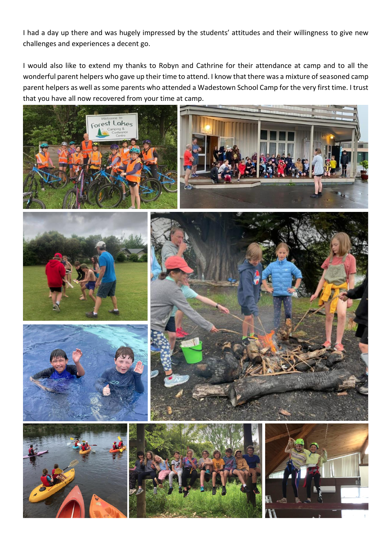I had a day up there and was hugely impressed by the students' attitudes and their willingness to give new challenges and experiences a decent go.

I would also like to extend my thanks to Robyn and Cathrine for their attendance at camp and to all the wonderful parent helpers who gave up their time to attend. I know that there was a mixture of seasoned camp parent helpers as well as some parents who attended a Wadestown School Camp for the very first time. I trust that you have all now recovered from your time at camp.

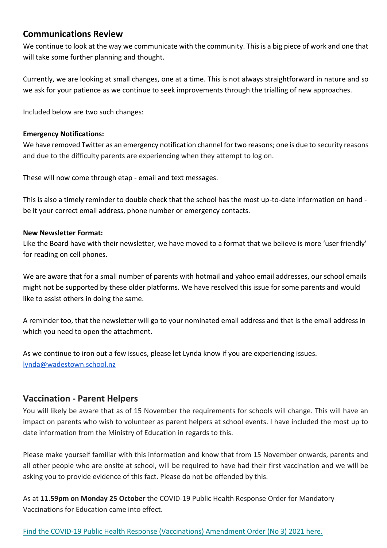# **Communications Review**

We continue to look at the way we communicate with the community. This is a big piece of work and one that will take some further planning and thought.

Currently, we are looking at small changes, one at a time. This is not always straightforward in nature and so we ask for your patience as we continue to seek improvements through the trialling of new approaches.

Included below are two such changes:

#### **Emergency Notifications:**

We have removed Twitter as an emergency notification channel for two reasons; one is due to security reasons and due to the difficulty parents are experiencing when they attempt to log on.

These will now come through etap - email and text messages.

This is also a timely reminder to double check that the school has the most up-to-date information on hand be it your correct email address, phone number or emergency contacts.

#### **New Newsletter Format:**

Like the Board have with their newsletter, we have moved to a format that we believe is more 'user friendly' for reading on cell phones.

We are aware that for a small number of parents with hotmail and yahoo email addresses, our school emails might not be supported by these older platforms. We have resolved this issue for some parents and would like to assist others in doing the same.

A reminder too, that the newsletter will go to your nominated email address and that is the email address in which you need to open the attachment.

As we continue to iron out a few issues, please let Lynda know if you are experiencing issues. [lynda@wadestown.school.nz](mailto:lynda@wadestown.school.nz)

# **Vaccination - Parent Helpers**

You will likely be aware that as of 15 November the requirements for schools will change. This will have an impact on parents who wish to volunteer as parent helpers at school events. I have included the most up to date information from the Ministry of Education in regards to this.

Please make yourself familiar with this information and know that from 15 November onwards, parents and all other people who are onsite at school, will be required to have had their first vaccination and we will be asking you to provide evidence of this fact. Please do not be offended by this.

As at **11.59pm on Monday 25 October** the COVID-19 Public Health Response Order for Mandatory Vaccinations for Education came into effect.

#### [Find the COVID-19 Public Health Response \(Vaccinations\) Amendment Order \(No 3\) 2021 here.](https://govt.us3.list-manage.com/track/click?u=2f59fcd18a691d315b5a045cb&id=fc5ca60513&e=abf6c0cbec)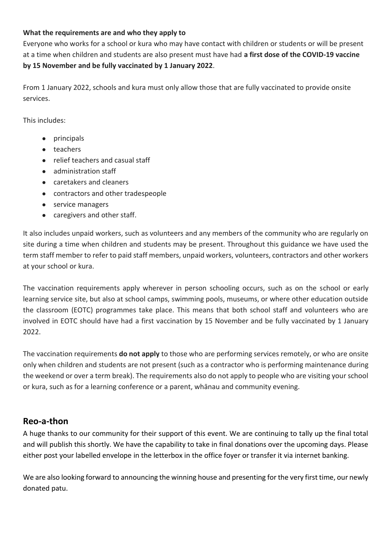#### **What the requirements are and who they apply to**

Everyone who works for a school or kura who may have contact with children or students or will be present at a time when children and students are also present must have had **a first dose of the COVID-19 vaccine by 15 November and be fully vaccinated by 1 January 2022**.

From 1 January 2022, schools and kura must only allow those that are fully vaccinated to provide onsite services.

This includes:

- principals
- teachers
- relief teachers and casual staff
- administration staff
- caretakers and cleaners
- contractors and other tradespeople
- service managers
- caregivers and other staff.

It also includes unpaid workers, such as volunteers and any members of the community who are regularly on site during a time when children and students may be present. Throughout this guidance we have used the term staff member to refer to paid staff members, unpaid workers, volunteers, contractors and other workers at your school or kura.

The vaccination requirements apply wherever in person schooling occurs, such as on the school or early learning service site, but also at school camps, swimming pools, museums, or where other education outside the classroom (EOTC) programmes take place. This means that both school staff and volunteers who are involved in EOTC should have had a first vaccination by 15 November and be fully vaccinated by 1 January 2022.

The vaccination requirements **do not apply** to those who are performing services remotely, or who are onsite only when children and students are not present (such as a contractor who is performing maintenance during the weekend or over a term break). The requirements also do not apply to people who are visiting your school or kura, such as for a learning conference or a parent, whānau and community evening.

# **Reo-a-thon**

A huge thanks to our community for their support of this event. We are continuing to tally up the final total and will publish this shortly. We have the capability to take in final donations over the upcoming days. Please either post your labelled envelope in the letterbox in the office foyer or transfer it via internet banking.

We are also looking forward to announcing the winning house and presenting for the very first time, our newly donated patu.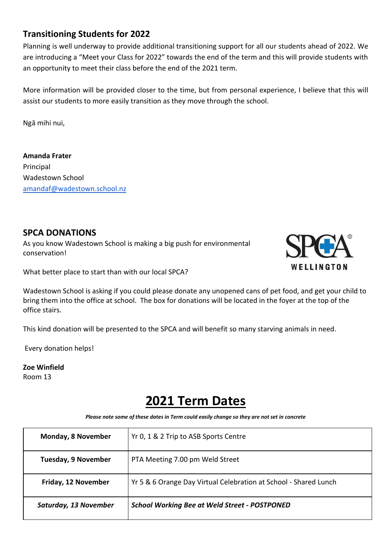# **Transitioning Students for 2022**

Planning is well underway to provide additional transitioning support for all our students ahead of 2022. We are introducing a "Meet your Class for 2022" towards the end of the term and this will provide students with an opportunity to meet their class before the end of the 2021 term.

More information will be provided closer to the time, but from personal experience, I believe that this will assist our students to more easily transition as they move through the school.

Ngā mihi nui,

**Amanda Frater** Principal Wadestown School [amandaf@wadestown.school.nz](mailto:amandaf@wadestown.school.nz)

# **SPCA DONATIONS**

As you know Wadestown School is making a big push for environmental conservation!



What better place to start than with our local SPCA?

Wadestown School is asking if you could please donate any unopened cans of pet food, and get your child to bring them into the office at school. The box for donations will be located in the foyer at the top of the office stairs.

This kind donation will be presented to the SPCA and will benefit so many starving animals in need.

Every donation helps!

#### **Zoe Winfield** Room 13

# **2021 Term Dates**

*Please note some of these dates in Term could easily change so they are not set in concrete*

| Monday, 8 November         | Yr 0, 1 & 2 Trip to ASB Sports Centre                            |
|----------------------------|------------------------------------------------------------------|
| <b>Tuesday, 9 November</b> | PTA Meeting 7.00 pm Weld Street                                  |
| Friday, 12 November        | Yr 5 & 6 Orange Day Virtual Celebration at School - Shared Lunch |
| Saturday, 13 November      | <b>School Working Bee at Weld Street - POSTPONED</b>             |